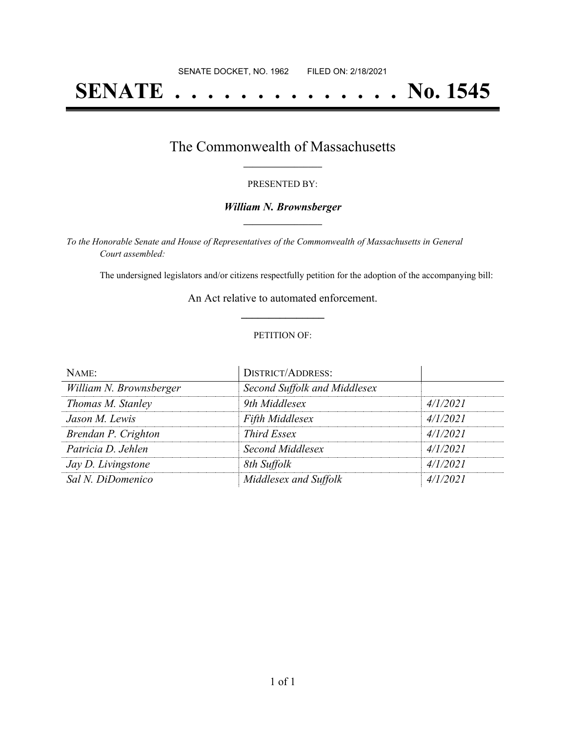# **SENATE . . . . . . . . . . . . . . No. 1545**

## The Commonwealth of Massachusetts **\_\_\_\_\_\_\_\_\_\_\_\_\_\_\_\_\_**

#### PRESENTED BY:

#### *William N. Brownsberger* **\_\_\_\_\_\_\_\_\_\_\_\_\_\_\_\_\_**

*To the Honorable Senate and House of Representatives of the Commonwealth of Massachusetts in General Court assembled:*

The undersigned legislators and/or citizens respectfully petition for the adoption of the accompanying bill:

An Act relative to automated enforcement. **\_\_\_\_\_\_\_\_\_\_\_\_\_\_\_**

#### PETITION OF:

| NAME:                   | <b>DISTRICT/ADDRESS:</b>     |          |
|-------------------------|------------------------------|----------|
| William N. Brownsberger | Second Suffolk and Middlesex |          |
| Thomas M. Stanley       | 9th Middlesex                | 4/1/2021 |
| Jason M. Lewis          | <b>Fifth Middlesex</b>       | 4/1/2021 |
| Brendan P. Crighton     | <b>Third Essex</b>           | 4/1/2021 |
| Patricia D. Jehlen      | Second Middlesex             | 4/1/2021 |
| Jay D. Livingstone      | 8th Suffolk                  | 4/1/2021 |
| Sal N. DiDomenico       | Middlesex and Suffolk        | 4/1/2021 |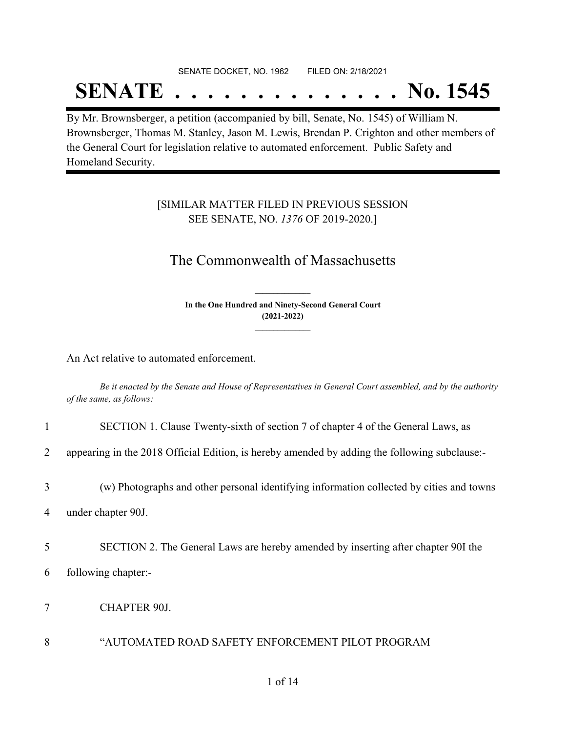## SENATE DOCKET, NO. 1962 FILED ON: 2/18/2021

## **SENATE . . . . . . . . . . . . . . No. 1545**

By Mr. Brownsberger, a petition (accompanied by bill, Senate, No. 1545) of William N. Brownsberger, Thomas M. Stanley, Jason M. Lewis, Brendan P. Crighton and other members of the General Court for legislation relative to automated enforcement. Public Safety and Homeland Security.

### [SIMILAR MATTER FILED IN PREVIOUS SESSION SEE SENATE, NO. *1376* OF 2019-2020.]

## The Commonwealth of Massachusetts

**In the One Hundred and Ninety-Second General Court (2021-2022) \_\_\_\_\_\_\_\_\_\_\_\_\_\_\_**

**\_\_\_\_\_\_\_\_\_\_\_\_\_\_\_**

An Act relative to automated enforcement.

Be it enacted by the Senate and House of Representatives in General Court assembled, and by the authority *of the same, as follows:*

| $\mathbf{1}$ | SECTION 1. Clause Twenty-sixth of section 7 of chapter 4 of the General Laws, as              |
|--------------|-----------------------------------------------------------------------------------------------|
| 2            | appearing in the 2018 Official Edition, is hereby amended by adding the following subclause:- |
| 3            | (w) Photographs and other personal identifying information collected by cities and towns      |
| 4            | under chapter 90J.                                                                            |
| 5            | SECTION 2. The General Laws are hereby amended by inserting after chapter 90I the             |
| 6            | following chapter:-                                                                           |
| 7            | <b>CHAPTER 90J.</b>                                                                           |
| 8            | "AUTOMATED ROAD SAFETY ENFORCEMENT PILOT PROGRAM                                              |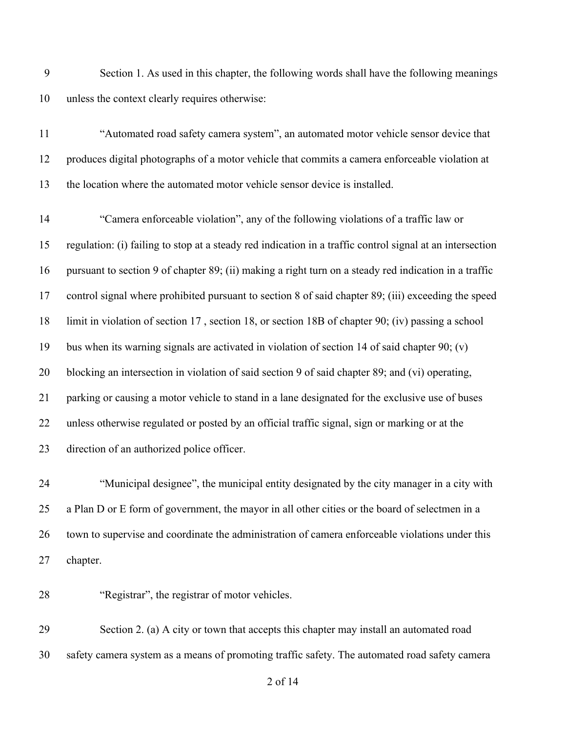Section 1. As used in this chapter, the following words shall have the following meanings unless the context clearly requires otherwise:

 "Automated road safety camera system", an automated motor vehicle sensor device that produces digital photographs of a motor vehicle that commits a camera enforceable violation at the location where the automated motor vehicle sensor device is installed.

 "Camera enforceable violation", any of the following violations of a traffic law or regulation: (i) failing to stop at a steady red indication in a traffic control signal at an intersection pursuant to section 9 of chapter 89; (ii) making a right turn on a steady red indication in a traffic control signal where prohibited pursuant to section 8 of said chapter 89; (iii) exceeding the speed limit in violation of section 17 , section 18, or section 18B of chapter 90; (iv) passing a school bus when its warning signals are activated in violation of section 14 of said chapter 90; (v) blocking an intersection in violation of said section 9 of said chapter 89; and (vi) operating, parking or causing a motor vehicle to stand in a lane designated for the exclusive use of buses unless otherwise regulated or posted by an official traffic signal, sign or marking or at the direction of an authorized police officer.

 "Municipal designee", the municipal entity designated by the city manager in a city with a Plan D or E form of government, the mayor in all other cities or the board of selectmen in a town to supervise and coordinate the administration of camera enforceable violations under this chapter.

"Registrar", the registrar of motor vehicles.

 Section 2. (a) A city or town that accepts this chapter may install an automated road safety camera system as a means of promoting traffic safety. The automated road safety camera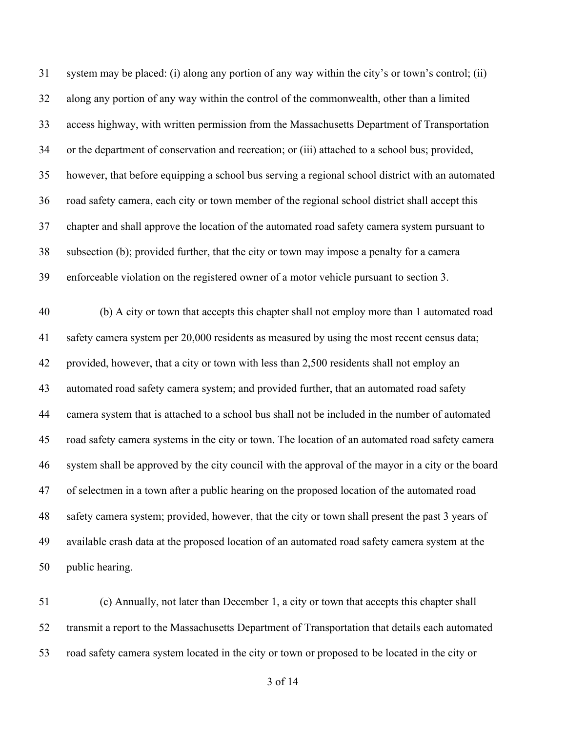system may be placed: (i) along any portion of any way within the city's or town's control; (ii) along any portion of any way within the control of the commonwealth, other than a limited access highway, with written permission from the Massachusetts Department of Transportation or the department of conservation and recreation; or (iii) attached to a school bus; provided, however, that before equipping a school bus serving a regional school district with an automated road safety camera, each city or town member of the regional school district shall accept this chapter and shall approve the location of the automated road safety camera system pursuant to subsection (b); provided further, that the city or town may impose a penalty for a camera enforceable violation on the registered owner of a motor vehicle pursuant to section 3.

 (b) A city or town that accepts this chapter shall not employ more than 1 automated road safety camera system per 20,000 residents as measured by using the most recent census data; provided, however, that a city or town with less than 2,500 residents shall not employ an automated road safety camera system; and provided further, that an automated road safety camera system that is attached to a school bus shall not be included in the number of automated road safety camera systems in the city or town. The location of an automated road safety camera system shall be approved by the city council with the approval of the mayor in a city or the board of selectmen in a town after a public hearing on the proposed location of the automated road safety camera system; provided, however, that the city or town shall present the past 3 years of available crash data at the proposed location of an automated road safety camera system at the public hearing.

 (c) Annually, not later than December 1, a city or town that accepts this chapter shall transmit a report to the Massachusetts Department of Transportation that details each automated road safety camera system located in the city or town or proposed to be located in the city or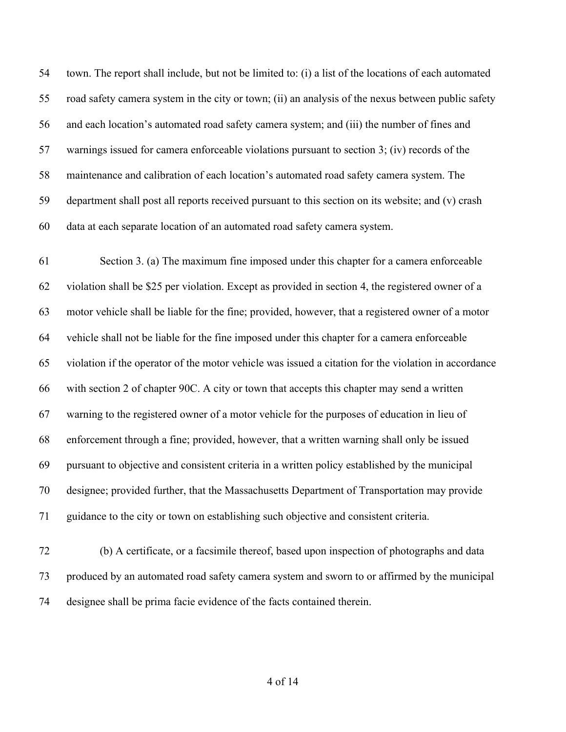town. The report shall include, but not be limited to: (i) a list of the locations of each automated road safety camera system in the city or town; (ii) an analysis of the nexus between public safety and each location's automated road safety camera system; and (iii) the number of fines and warnings issued for camera enforceable violations pursuant to section 3; (iv) records of the maintenance and calibration of each location's automated road safety camera system. The department shall post all reports received pursuant to this section on its website; and (v) crash data at each separate location of an automated road safety camera system.

 Section 3. (a) The maximum fine imposed under this chapter for a camera enforceable violation shall be \$25 per violation. Except as provided in section 4, the registered owner of a motor vehicle shall be liable for the fine; provided, however, that a registered owner of a motor vehicle shall not be liable for the fine imposed under this chapter for a camera enforceable violation if the operator of the motor vehicle was issued a citation for the violation in accordance with section 2 of chapter 90C. A city or town that accepts this chapter may send a written warning to the registered owner of a motor vehicle for the purposes of education in lieu of enforcement through a fine; provided, however, that a written warning shall only be issued pursuant to objective and consistent criteria in a written policy established by the municipal designee; provided further, that the Massachusetts Department of Transportation may provide guidance to the city or town on establishing such objective and consistent criteria.

 (b) A certificate, or a facsimile thereof, based upon inspection of photographs and data produced by an automated road safety camera system and sworn to or affirmed by the municipal designee shall be prima facie evidence of the facts contained therein.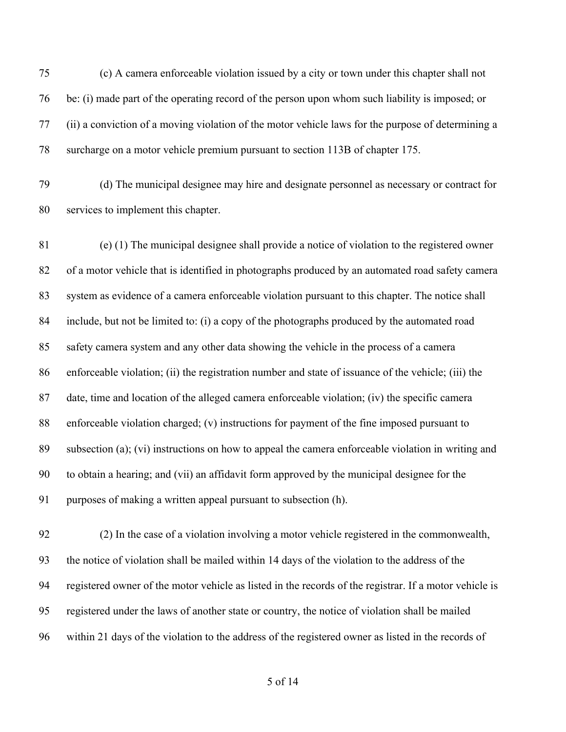(c) A camera enforceable violation issued by a city or town under this chapter shall not be: (i) made part of the operating record of the person upon whom such liability is imposed; or (ii) a conviction of a moving violation of the motor vehicle laws for the purpose of determining a surcharge on a motor vehicle premium pursuant to section 113B of chapter 175.

 (d) The municipal designee may hire and designate personnel as necessary or contract for services to implement this chapter.

 (e) (1) The municipal designee shall provide a notice of violation to the registered owner of a motor vehicle that is identified in photographs produced by an automated road safety camera system as evidence of a camera enforceable violation pursuant to this chapter. The notice shall include, but not be limited to: (i) a copy of the photographs produced by the automated road safety camera system and any other data showing the vehicle in the process of a camera enforceable violation; (ii) the registration number and state of issuance of the vehicle; (iii) the date, time and location of the alleged camera enforceable violation; (iv) the specific camera enforceable violation charged; (v) instructions for payment of the fine imposed pursuant to subsection (a); (vi) instructions on how to appeal the camera enforceable violation in writing and to obtain a hearing; and (vii) an affidavit form approved by the municipal designee for the purposes of making a written appeal pursuant to subsection (h).

 (2) In the case of a violation involving a motor vehicle registered in the commonwealth, the notice of violation shall be mailed within 14 days of the violation to the address of the registered owner of the motor vehicle as listed in the records of the registrar. If a motor vehicle is registered under the laws of another state or country, the notice of violation shall be mailed within 21 days of the violation to the address of the registered owner as listed in the records of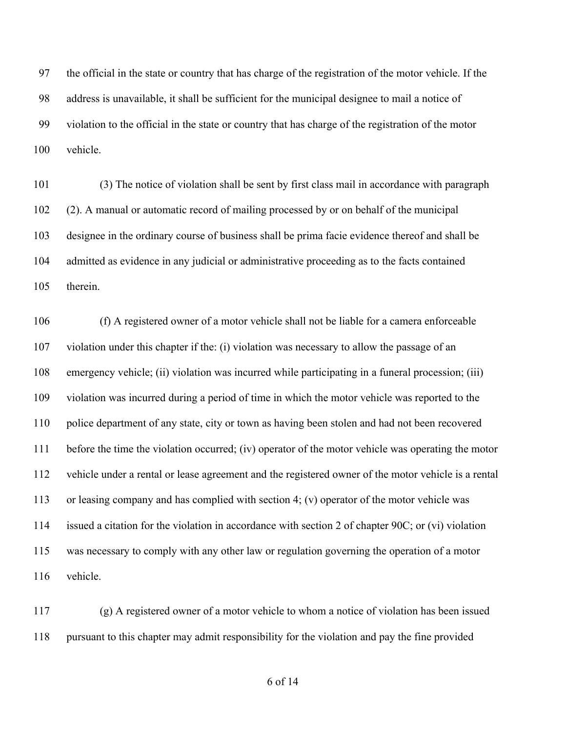the official in the state or country that has charge of the registration of the motor vehicle. If the address is unavailable, it shall be sufficient for the municipal designee to mail a notice of violation to the official in the state or country that has charge of the registration of the motor vehicle.

 (3) The notice of violation shall be sent by first class mail in accordance with paragraph (2). A manual or automatic record of mailing processed by or on behalf of the municipal designee in the ordinary course of business shall be prima facie evidence thereof and shall be admitted as evidence in any judicial or administrative proceeding as to the facts contained therein.

 (f) A registered owner of a motor vehicle shall not be liable for a camera enforceable violation under this chapter if the: (i) violation was necessary to allow the passage of an emergency vehicle; (ii) violation was incurred while participating in a funeral procession; (iii) violation was incurred during a period of time in which the motor vehicle was reported to the police department of any state, city or town as having been stolen and had not been recovered before the time the violation occurred; (iv) operator of the motor vehicle was operating the motor vehicle under a rental or lease agreement and the registered owner of the motor vehicle is a rental or leasing company and has complied with section 4; (v) operator of the motor vehicle was issued a citation for the violation in accordance with section 2 of chapter 90C; or (vi) violation was necessary to comply with any other law or regulation governing the operation of a motor vehicle.

 (g) A registered owner of a motor vehicle to whom a notice of violation has been issued pursuant to this chapter may admit responsibility for the violation and pay the fine provided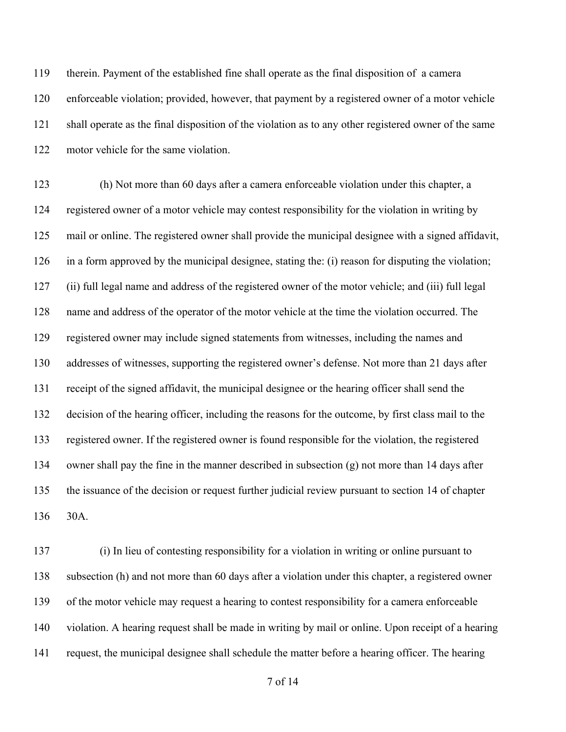therein. Payment of the established fine shall operate as the final disposition of a camera enforceable violation; provided, however, that payment by a registered owner of a motor vehicle shall operate as the final disposition of the violation as to any other registered owner of the same motor vehicle for the same violation.

 (h) Not more than 60 days after a camera enforceable violation under this chapter, a registered owner of a motor vehicle may contest responsibility for the violation in writing by mail or online. The registered owner shall provide the municipal designee with a signed affidavit, in a form approved by the municipal designee, stating the: (i) reason for disputing the violation; (ii) full legal name and address of the registered owner of the motor vehicle; and (iii) full legal name and address of the operator of the motor vehicle at the time the violation occurred. The registered owner may include signed statements from witnesses, including the names and addresses of witnesses, supporting the registered owner's defense. Not more than 21 days after receipt of the signed affidavit, the municipal designee or the hearing officer shall send the decision of the hearing officer, including the reasons for the outcome, by first class mail to the registered owner. If the registered owner is found responsible for the violation, the registered owner shall pay the fine in the manner described in subsection (g) not more than 14 days after the issuance of the decision or request further judicial review pursuant to section 14 of chapter 30A.

 (i) In lieu of contesting responsibility for a violation in writing or online pursuant to subsection (h) and not more than 60 days after a violation under this chapter, a registered owner of the motor vehicle may request a hearing to contest responsibility for a camera enforceable violation. A hearing request shall be made in writing by mail or online. Upon receipt of a hearing request, the municipal designee shall schedule the matter before a hearing officer. The hearing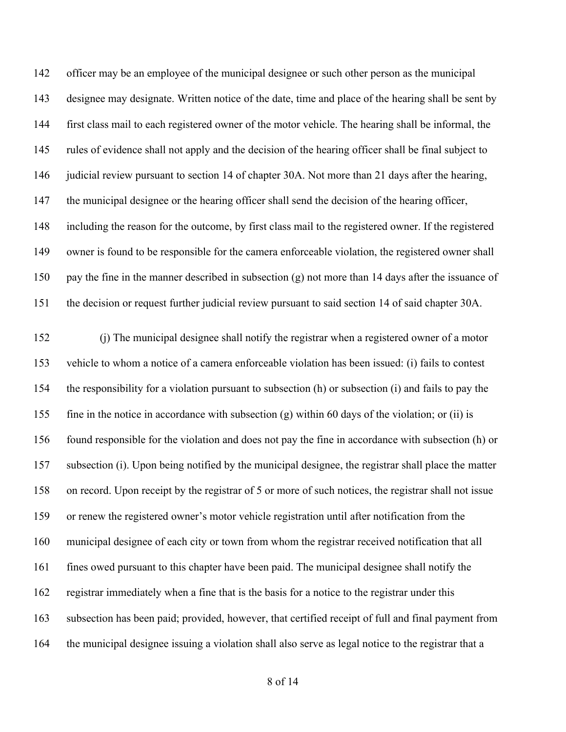officer may be an employee of the municipal designee or such other person as the municipal designee may designate. Written notice of the date, time and place of the hearing shall be sent by first class mail to each registered owner of the motor vehicle. The hearing shall be informal, the rules of evidence shall not apply and the decision of the hearing officer shall be final subject to 146 judicial review pursuant to section 14 of chapter 30A. Not more than 21 days after the hearing, the municipal designee or the hearing officer shall send the decision of the hearing officer, including the reason for the outcome, by first class mail to the registered owner. If the registered owner is found to be responsible for the camera enforceable violation, the registered owner shall pay the fine in the manner described in subsection (g) not more than 14 days after the issuance of the decision or request further judicial review pursuant to said section 14 of said chapter 30A.

 (j) The municipal designee shall notify the registrar when a registered owner of a motor vehicle to whom a notice of a camera enforceable violation has been issued: (i) fails to contest the responsibility for a violation pursuant to subsection (h) or subsection (i) and fails to pay the fine in the notice in accordance with subsection (g) within 60 days of the violation; or (ii) is found responsible for the violation and does not pay the fine in accordance with subsection (h) or subsection (i). Upon being notified by the municipal designee, the registrar shall place the matter on record. Upon receipt by the registrar of 5 or more of such notices, the registrar shall not issue or renew the registered owner's motor vehicle registration until after notification from the municipal designee of each city or town from whom the registrar received notification that all fines owed pursuant to this chapter have been paid. The municipal designee shall notify the registrar immediately when a fine that is the basis for a notice to the registrar under this subsection has been paid; provided, however, that certified receipt of full and final payment from the municipal designee issuing a violation shall also serve as legal notice to the registrar that a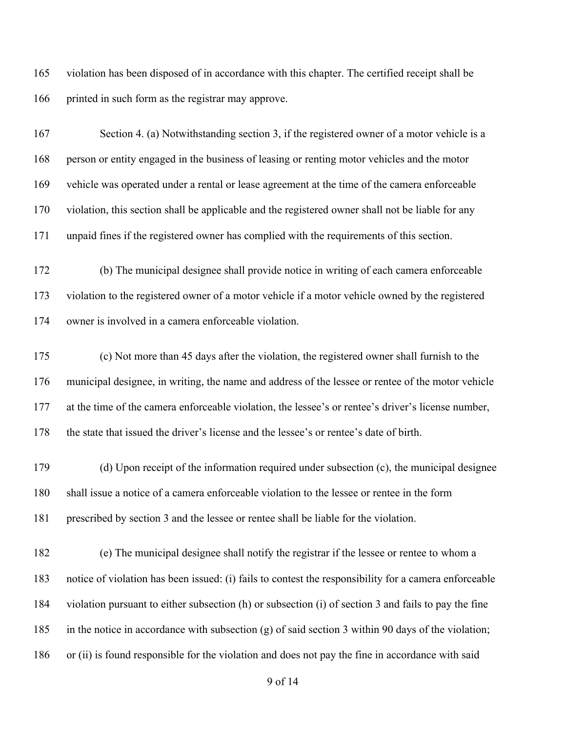violation has been disposed of in accordance with this chapter. The certified receipt shall be printed in such form as the registrar may approve.

 Section 4. (a) Notwithstanding section 3, if the registered owner of a motor vehicle is a person or entity engaged in the business of leasing or renting motor vehicles and the motor vehicle was operated under a rental or lease agreement at the time of the camera enforceable violation, this section shall be applicable and the registered owner shall not be liable for any unpaid fines if the registered owner has complied with the requirements of this section.

 (b) The municipal designee shall provide notice in writing of each camera enforceable violation to the registered owner of a motor vehicle if a motor vehicle owned by the registered owner is involved in a camera enforceable violation.

 (c) Not more than 45 days after the violation, the registered owner shall furnish to the municipal designee, in writing, the name and address of the lessee or rentee of the motor vehicle at the time of the camera enforceable violation, the lessee's or rentee's driver's license number, the state that issued the driver's license and the lessee's or rentee's date of birth.

 (d) Upon receipt of the information required under subsection (c), the municipal designee shall issue a notice of a camera enforceable violation to the lessee or rentee in the form prescribed by section 3 and the lessee or rentee shall be liable for the violation.

 (e) The municipal designee shall notify the registrar if the lessee or rentee to whom a notice of violation has been issued: (i) fails to contest the responsibility for a camera enforceable violation pursuant to either subsection (h) or subsection (i) of section 3 and fails to pay the fine in the notice in accordance with subsection (g) of said section 3 within 90 days of the violation; or (ii) is found responsible for the violation and does not pay the fine in accordance with said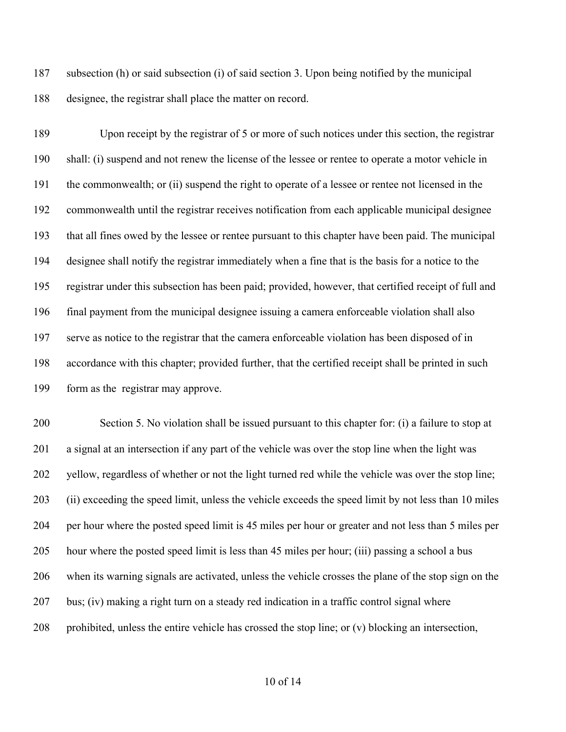subsection (h) or said subsection (i) of said section 3. Upon being notified by the municipal designee, the registrar shall place the matter on record.

 Upon receipt by the registrar of 5 or more of such notices under this section, the registrar shall: (i) suspend and not renew the license of the lessee or rentee to operate a motor vehicle in the commonwealth; or (ii) suspend the right to operate of a lessee or rentee not licensed in the commonwealth until the registrar receives notification from each applicable municipal designee that all fines owed by the lessee or rentee pursuant to this chapter have been paid. The municipal designee shall notify the registrar immediately when a fine that is the basis for a notice to the registrar under this subsection has been paid; provided, however, that certified receipt of full and final payment from the municipal designee issuing a camera enforceable violation shall also serve as notice to the registrar that the camera enforceable violation has been disposed of in accordance with this chapter; provided further, that the certified receipt shall be printed in such form as the registrar may approve.

 Section 5. No violation shall be issued pursuant to this chapter for: (i) a failure to stop at a signal at an intersection if any part of the vehicle was over the stop line when the light was yellow, regardless of whether or not the light turned red while the vehicle was over the stop line; (ii) exceeding the speed limit, unless the vehicle exceeds the speed limit by not less than 10 miles per hour where the posted speed limit is 45 miles per hour or greater and not less than 5 miles per hour where the posted speed limit is less than 45 miles per hour; (iii) passing a school a bus when its warning signals are activated, unless the vehicle crosses the plane of the stop sign on the bus; (iv) making a right turn on a steady red indication in a traffic control signal where 208 prohibited, unless the entire vehicle has crossed the stop line; or  $(v)$  blocking an intersection,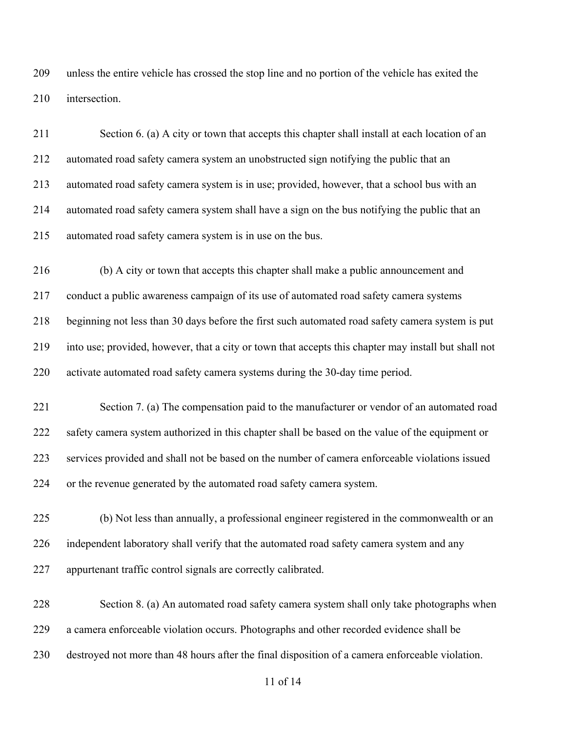unless the entire vehicle has crossed the stop line and no portion of the vehicle has exited the intersection.

 Section 6. (a) A city or town that accepts this chapter shall install at each location of an automated road safety camera system an unobstructed sign notifying the public that an automated road safety camera system is in use; provided, however, that a school bus with an automated road safety camera system shall have a sign on the bus notifying the public that an automated road safety camera system is in use on the bus.

 (b) A city or town that accepts this chapter shall make a public announcement and conduct a public awareness campaign of its use of automated road safety camera systems beginning not less than 30 days before the first such automated road safety camera system is put into use; provided, however, that a city or town that accepts this chapter may install but shall not activate automated road safety camera systems during the 30-day time period.

 Section 7. (a) The compensation paid to the manufacturer or vendor of an automated road 222 safety camera system authorized in this chapter shall be based on the value of the equipment or services provided and shall not be based on the number of camera enforceable violations issued or the revenue generated by the automated road safety camera system.

 (b) Not less than annually, a professional engineer registered in the commonwealth or an independent laboratory shall verify that the automated road safety camera system and any appurtenant traffic control signals are correctly calibrated.

 Section 8. (a) An automated road safety camera system shall only take photographs when a camera enforceable violation occurs. Photographs and other recorded evidence shall be destroyed not more than 48 hours after the final disposition of a camera enforceable violation.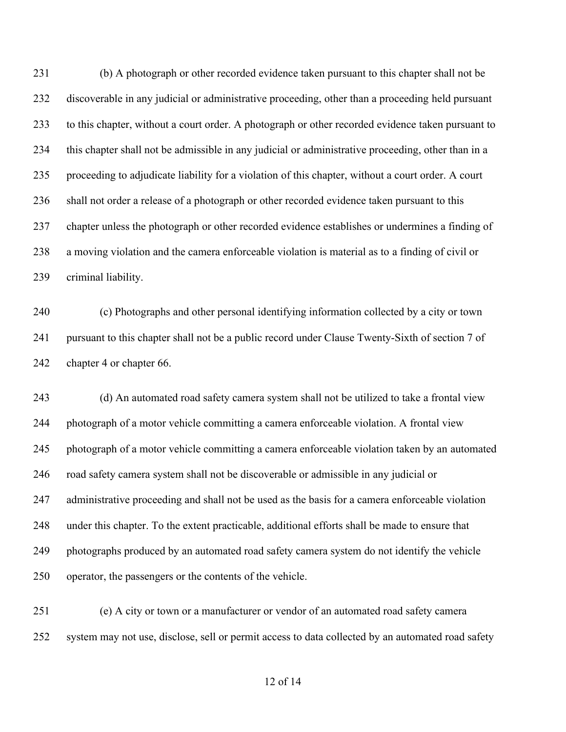(b) A photograph or other recorded evidence taken pursuant to this chapter shall not be discoverable in any judicial or administrative proceeding, other than a proceeding held pursuant to this chapter, without a court order. A photograph or other recorded evidence taken pursuant to this chapter shall not be admissible in any judicial or administrative proceeding, other than in a proceeding to adjudicate liability for a violation of this chapter, without a court order. A court shall not order a release of a photograph or other recorded evidence taken pursuant to this chapter unless the photograph or other recorded evidence establishes or undermines a finding of a moving violation and the camera enforceable violation is material as to a finding of civil or criminal liability.

 (c) Photographs and other personal identifying information collected by a city or town 241 pursuant to this chapter shall not be a public record under Clause Twenty-Sixth of section 7 of chapter 4 or chapter 66.

 (d) An automated road safety camera system shall not be utilized to take a frontal view photograph of a motor vehicle committing a camera enforceable violation. A frontal view photograph of a motor vehicle committing a camera enforceable violation taken by an automated road safety camera system shall not be discoverable or admissible in any judicial or 247 administrative proceeding and shall not be used as the basis for a camera enforceable violation under this chapter. To the extent practicable, additional efforts shall be made to ensure that photographs produced by an automated road safety camera system do not identify the vehicle operator, the passengers or the contents of the vehicle.

 (e) A city or town or a manufacturer or vendor of an automated road safety camera system may not use, disclose, sell or permit access to data collected by an automated road safety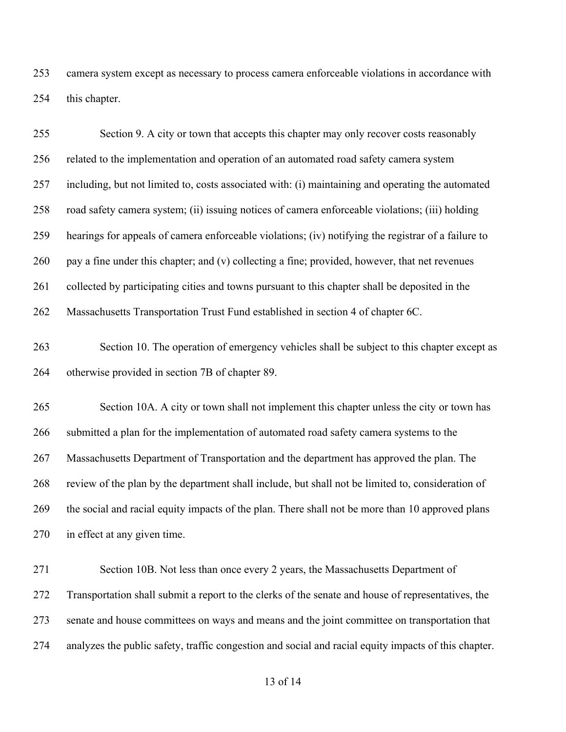camera system except as necessary to process camera enforceable violations in accordance with this chapter.

| 255        | Section 9. A city or town that accepts this chapter may only recover costs reasonably                                                         |
|------------|-----------------------------------------------------------------------------------------------------------------------------------------------|
| 256        | related to the implementation and operation of an automated road safety camera system                                                         |
| 257        | including, but not limited to, costs associated with: (i) maintaining and operating the automated                                             |
| 258        | road safety camera system; (ii) issuing notices of camera enforceable violations; (iii) holding                                               |
| 259        | hearings for appeals of camera enforceable violations; (iv) notifying the registrar of a failure to                                           |
| 260        | pay a fine under this chapter; and (v) collecting a fine; provided, however, that net revenues                                                |
| 261        | collected by participating cities and towns pursuant to this chapter shall be deposited in the                                                |
| 262        | Massachusetts Transportation Trust Fund established in section 4 of chapter 6C.                                                               |
| 263<br>264 | Section 10. The operation of emergency vehicles shall be subject to this chapter except as<br>otherwise provided in section 7B of chapter 89. |
| 265        | Section 10A. A city or town shall not implement this chapter unless the city or town has                                                      |
|            |                                                                                                                                               |
| 266        | submitted a plan for the implementation of automated road safety camera systems to the                                                        |
| 267        | Massachusetts Department of Transportation and the department has approved the plan. The                                                      |
| 268        | review of the plan by the department shall include, but shall not be limited to, consideration of                                             |
| 269        | the social and racial equity impacts of the plan. There shall not be more than 10 approved plans                                              |
| 270        | in effect at any given time.                                                                                                                  |
| 271        | Section 10B. Not less than once every 2 years, the Massachusetts Department of                                                                |
| 272        | Transportation shall submit a report to the clerks of the senate and house of representatives, the                                            |
| 273        | senate and house committees on ways and means and the joint committee on transportation that                                                  |
| 274        | analyzes the public safety, traffic congestion and social and racial equity impacts of this chapter.                                          |